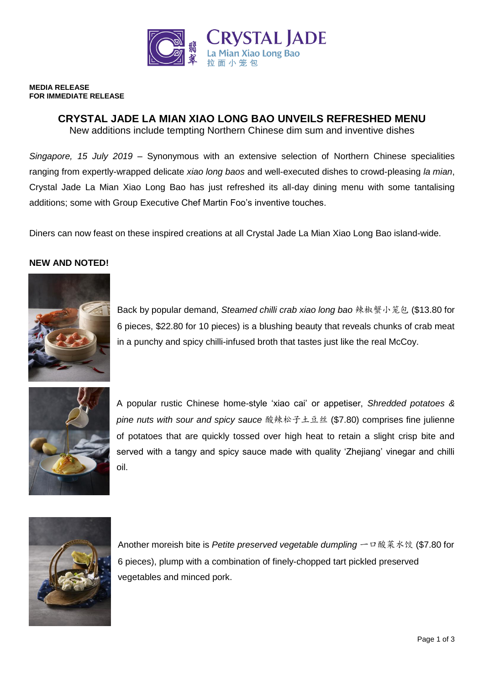

#### **MEDIA RELEASE FOR IMMEDIATE RELEASE**

# **CRYSTAL JADE LA MIAN XIAO LONG BAO UNVEILS REFRESHED MENU**

New additions include tempting Northern Chinese dim sum and inventive dishes

*Singapore, 15 July 2019* – Synonymous with an extensive selection of Northern Chinese specialities ranging from expertly-wrapped delicate *xiao long baos* and well-executed dishes to crowd-pleasing *la mian*, Crystal Jade La Mian Xiao Long Bao has just refreshed its all-day dining menu with some tantalising additions; some with Group Executive Chef Martin Foo's inventive touches.

Diners can now feast on these inspired creations at all Crystal Jade La Mian Xiao Long Bao island-wide.

# **NEW AND NOTED!**



Back by popular demand, *Steamed chilli crab xiao long bao* 辣椒蟹小笼包 (\$13.80 for 6 pieces, \$22.80 for 10 pieces) is a blushing beauty that reveals chunks of crab meat in a punchy and spicy chilli-infused broth that tastes just like the real McCoy.



A popular rustic Chinese home-style 'xiao cai' or appetiser, *Shredded potatoes & pine nuts with sour and spicy sauce* 酸辣松子土豆丝 (\$7.80) comprises fine julienne of potatoes that are quickly tossed over high heat to retain a slight crisp bite and served with a tangy and spicy sauce made with quality 'Zhejiang' vinegar and chilli oil.



Another moreish bite is *Petite preserved vegetable dumpling* 一口酸菜水饺 (\$7.80 for 6 pieces), plump with a combination of finely-chopped tart pickled preserved vegetables and minced pork.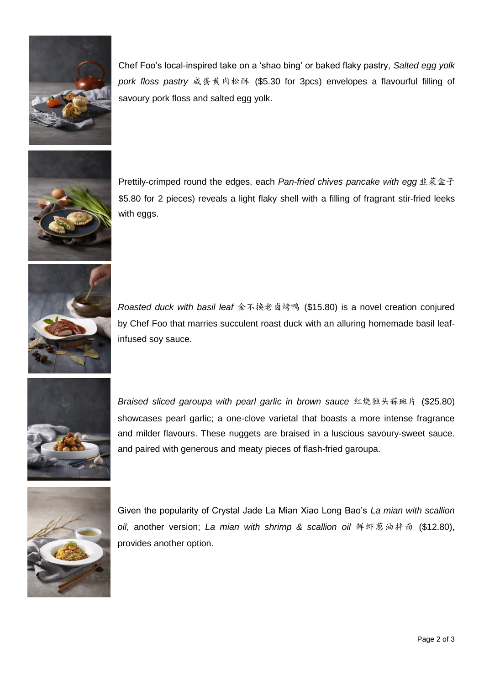

Chef Foo's local-inspired take on a 'shao bing' or baked flaky pastry, *Salted egg yolk pork floss pastry* 咸蛋黄肉松酥 (\$5.30 for 3pcs) envelopes a flavourful filling of savoury pork floss and salted egg yolk.



Prettily-crimped round the edges, each *Pan-fried chives pancake with egg* 韭菜盒子 \$5.80 for 2 pieces) reveals a light flaky shell with a filling of fragrant stir-fried leeks with eggs.



*Roasted duck with basil leaf* 金不换老卤烤鸭 (\$15.80) is a novel creation conjured by Chef Foo that marries succulent roast duck with an alluring homemade basil leafinfused soy sauce.



*Braised sliced garoupa with pearl garlic in brown sauce* 红烧独头蒜斑片 (\$25.80) showcases pearl garlic; a one-clove varietal that boasts a more intense fragrance and milder flavours. These nuggets are braised in a luscious savoury-sweet sauce. and paired with generous and meaty pieces of flash-fried garoupa.



Given the popularity of Crystal Jade La Mian Xiao Long Bao's *La mian with scallion oil*, another version; *La mian with shrimp & scallion oil* 鲜虾葱油拌面 (\$12.80), provides another option.